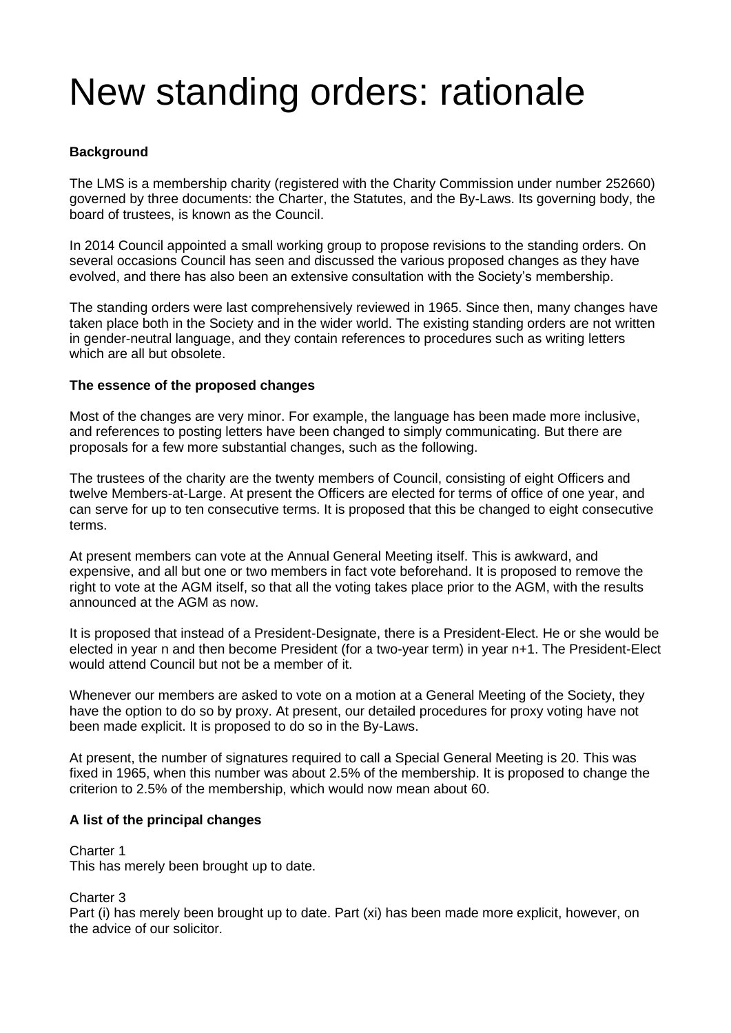# New standing orders: rationale

## **Background**

The LMS is a membership charity (registered with the Charity Commission under number 252660) governed by three documents: the Charter, the Statutes, and the By-Laws. Its governing body, the board of trustees, is known as the Council.

In 2014 Council appointed a small working group to propose revisions to the standing orders. On several occasions Council has seen and discussed the various proposed changes as they have evolved, and there has also been an extensive consultation with the Society's membership.

The standing orders were last comprehensively reviewed in 1965. Since then, many changes have taken place both in the Society and in the wider world. The existing standing orders are not written in gender-neutral language, and they contain references to procedures such as writing letters which are all but obsolete.

### **The essence of the proposed changes**

Most of the changes are very minor. For example, the language has been made more inclusive, and references to posting letters have been changed to simply communicating. But there are proposals for a few more substantial changes, such as the following.

The trustees of the charity are the twenty members of Council, consisting of eight Officers and twelve Members-at-Large. At present the Officers are elected for terms of office of one year, and can serve for up to ten consecutive terms. It is proposed that this be changed to eight consecutive terms.

At present members can vote at the Annual General Meeting itself. This is awkward, and expensive, and all but one or two members in fact vote beforehand. It is proposed to remove the right to vote at the AGM itself, so that all the voting takes place prior to the AGM, with the results announced at the AGM as now.

It is proposed that instead of a President-Designate, there is a President-Elect. He or she would be elected in year n and then become President (for a two-year term) in year n+1. The President-Elect would attend Council but not be a member of it.

Whenever our members are asked to vote on a motion at a General Meeting of the Society, they have the option to do so by proxy. At present, our detailed procedures for proxy voting have not been made explicit. It is proposed to do so in the By-Laws.

At present, the number of signatures required to call a Special General Meeting is 20. This was fixed in 1965, when this number was about 2.5% of the membership. It is proposed to change the criterion to 2.5% of the membership, which would now mean about 60.

### **A list of the principal changes**

Charter 1 This has merely been brought up to date.

Charter 3

Part (i) has merely been brought up to date. Part (xi) has been made more explicit, however, on the advice of our solicitor.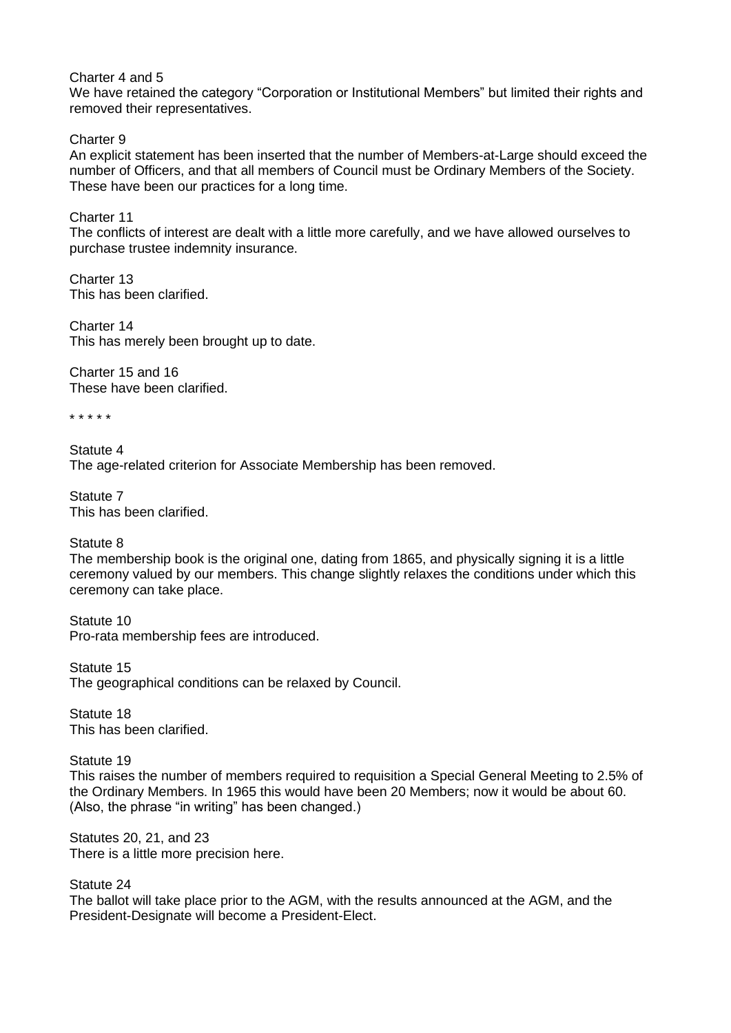#### Charter 4 and 5

We have retained the category "Corporation or Institutional Members" but limited their rights and removed their representatives.

Charter 9

An explicit statement has been inserted that the number of Members-at-Large should exceed the number of Officers, and that all members of Council must be Ordinary Members of the Society. These have been our practices for a long time.

Charter 11

The conflicts of interest are dealt with a little more carefully, and we have allowed ourselves to purchase trustee indemnity insurance.

Charter 13 This has been clarified.

Charter 14 This has merely been brought up to date.

Charter 15 and 16 These have been clarified.

\* \* \* \* \*

Statute 4 The age-related criterion for Associate Membership has been removed.

Statute 7 This has been clarified.

Statute 8

The membership book is the original one, dating from 1865, and physically signing it is a little ceremony valued by our members. This change slightly relaxes the conditions under which this ceremony can take place.

Statute 10 Pro-rata membership fees are introduced.

Statute 15 The geographical conditions can be relaxed by Council.

Statute 18 This has been clarified.

Statute 19 This raises the number of members required to requisition a Special General Meeting to 2.5% of the Ordinary Members. In 1965 this would have been 20 Members; now it would be about 60. (Also, the phrase "in writing" has been changed.)

Statutes 20, 21, and 23 There is a little more precision here.

Statute 24

The ballot will take place prior to the AGM, with the results announced at the AGM, and the President-Designate will become a President-Elect.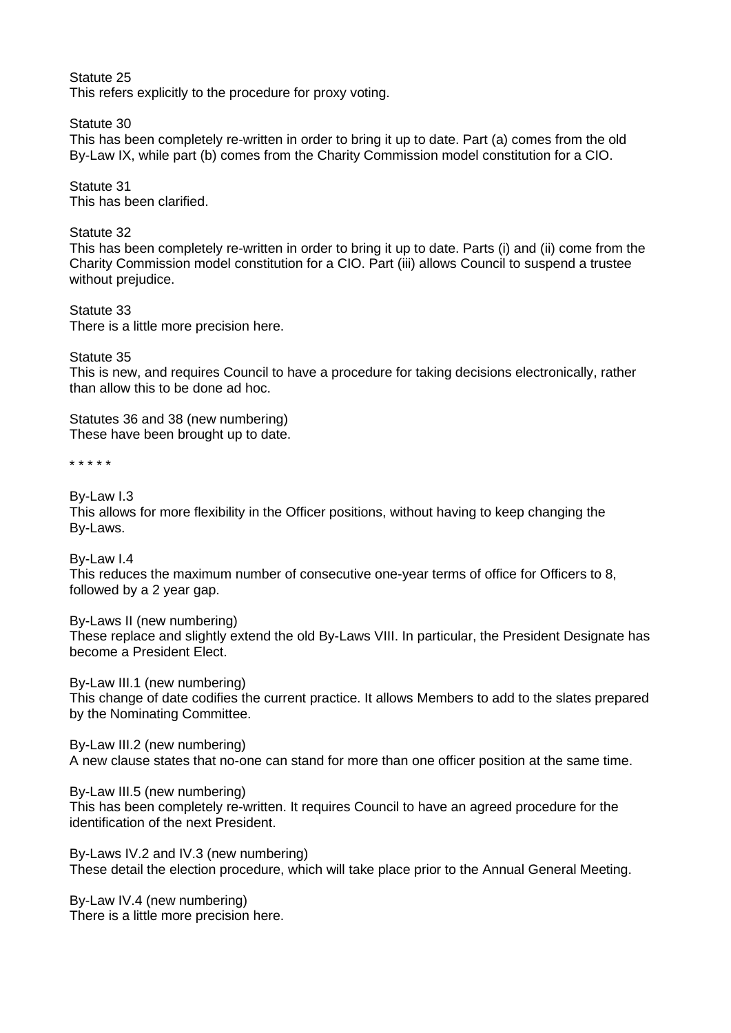Statute 25 This refers explicitly to the procedure for proxy voting.

Statute 30 This has been completely re-written in order to bring it up to date. Part (a) comes from the old By-Law IX, while part (b) comes from the Charity Commission model constitution for a CIO.

Statute 31 This has been clarified.

Statute 32 This has been completely re-written in order to bring it up to date. Parts (i) and (ii) come from the Charity Commission model constitution for a CIO. Part (iii) allows Council to suspend a trustee without prejudice.

Statute 33 There is a little more precision here.

Statute 35

This is new, and requires Council to have a procedure for taking decisions electronically, rather than allow this to be done ad hoc.

Statutes 36 and 38 (new numbering) These have been brought up to date.

\* \* \* \* \*

By-Law I.3

This allows for more flexibility in the Officer positions, without having to keep changing the By-Laws.

By-Law I.4 This reduces the maximum number of consecutive one-year terms of office for Officers to 8, followed by a 2 year gap.

By-Laws II (new numbering) These replace and slightly extend the old By-Laws VIII. In particular, the President Designate has become a President Elect.

By-Law III.1 (new numbering) This change of date codifies the current practice. It allows Members to add to the slates prepared by the Nominating Committee.

By-Law III.2 (new numbering) A new clause states that no-one can stand for more than one officer position at the same time.

By-Law III.5 (new numbering) This has been completely re-written. It requires Council to have an agreed procedure for the identification of the next President.

By-Laws IV.2 and IV.3 (new numbering) These detail the election procedure, which will take place prior to the Annual General Meeting.

By-Law IV.4 (new numbering) There is a little more precision here.